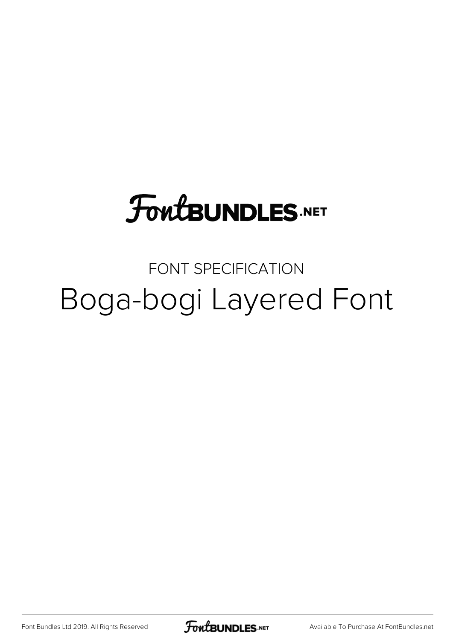#### **FoutBUNDLES.NET**

#### FONT SPECIFICATION Boga-bogi Layered Font

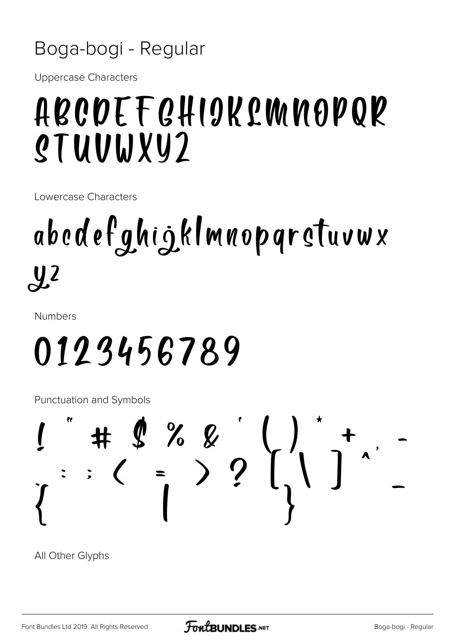

**Uppercase Characters** 

### ABCDEFGHIOKCMMOPOR SLNNMXNJ

Lowercase Characters

## abodefghigklmnoparstuvwx  $\mathbf{y}$

**Numbers** 

## 0123456789

**Punctuation and Symbols** 



All Other Glyphs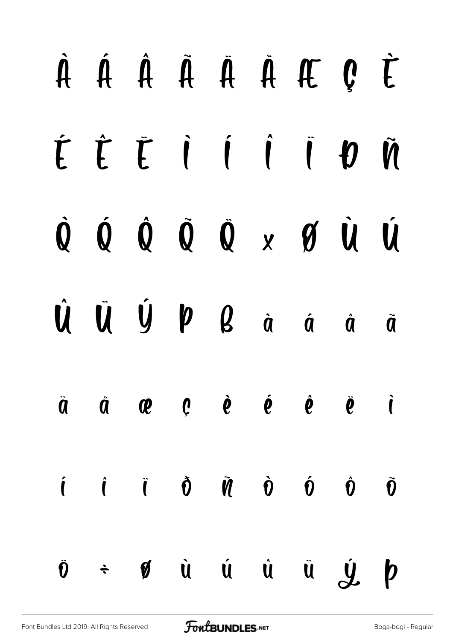# À Á Â Ã Ä Å Æ Ç È É Ê Ë Ì Í Î Ï Ð Ñ Ò Ó Ô Õ Ö × Ø Ù Ú Û Ü Ý Þ ß à á â ã ä å æ ç è é ê ë ì í î ï ð ñ ò ó ô õ  $\ddot{\mathbf{v}}$  ÷  $\mathbf{v}$   $\dot{\mathbf{u}}$   $\dot{\mathbf{u}}$   $\dot{\mathbf{u}}$   $\dot{\mathbf{u}}$   $\dot{\mathbf{y}}$   $\dot{\mathbf{p}}$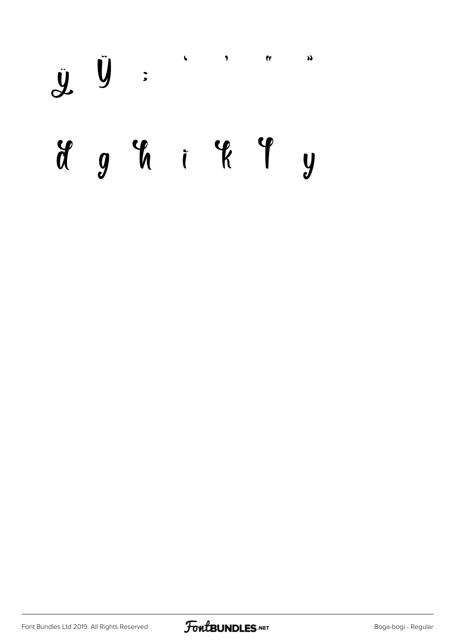#### $\dot{\mathbf{y}}$   $\dot{\mathbf{y}}$  :  $\overline{\phantom{a}}$  $\overline{\mathbf{e}}$  $\sqrt{2}$  $\lambda$ g h i k Y  $\chi$  $\mathbf{y}$

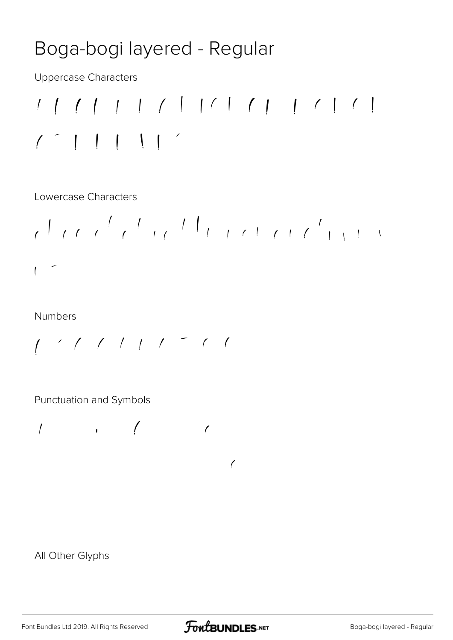#### Boga-bogi layered - Regular

**Uppercase Characters** 

Lowercase Characters

$$
\begin{array}{c}\n\begin{array}{c}\n\cdot & \cdot \\
\cdot & \cdot \\
\cdot & \cdot\n\end{array}\n\end{array}
$$

**Numbers** 

Punctuation and Symbols

 $\left($  $\label{eq:2.1} \frac{1}{2} \int_{\mathbb{R}^3} \frac{1}{\sqrt{2}} \, \frac{1}{\sqrt{2}} \, \frac{1}{\sqrt{2}} \, \frac{1}{\sqrt{2}} \, \frac{1}{\sqrt{2}} \, \frac{1}{\sqrt{2}} \, \frac{1}{\sqrt{2}} \, \frac{1}{\sqrt{2}} \, \frac{1}{\sqrt{2}} \, \frac{1}{\sqrt{2}} \, \frac{1}{\sqrt{2}} \, \frac{1}{\sqrt{2}} \, \frac{1}{\sqrt{2}} \, \frac{1}{\sqrt{2}} \, \frac{1}{\sqrt{2}} \, \frac{1}{\sqrt{2}} \,$  $\sqrt{ }$  $\sqrt{ }$ 

All Other Glyphs

 $\sqrt{ }$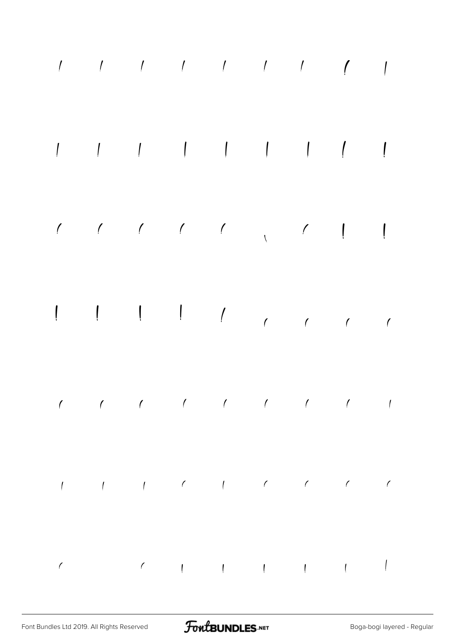